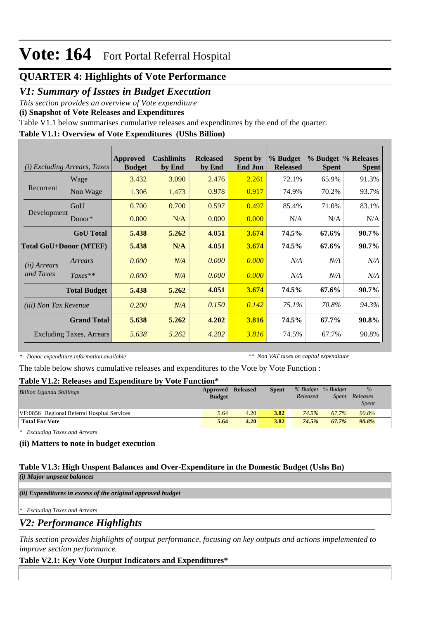## **QUARTER 4: Highlights of Vote Performance**

### *V1: Summary of Issues in Budget Execution*

*This section provides an overview of Vote expenditure* 

**(i) Snapshot of Vote Releases and Expenditures**

Table V1.1 below summarises cumulative releases and expenditures by the end of the quarter:

### **Table V1.1: Overview of Vote Expenditures (UShs Billion)**

| (i)                           | <b>Excluding Arrears, Taxes</b> | Approved<br><b>Budget</b> | <b>Cashlimits</b><br>by End | <b>Released</b><br>by End | <b>Spent by</b><br><b>End Jun</b> | % Budget<br><b>Released</b> | <b>Spent</b> | % Budget % Releases<br><b>Spent</b> |
|-------------------------------|---------------------------------|---------------------------|-----------------------------|---------------------------|-----------------------------------|-----------------------------|--------------|-------------------------------------|
|                               | Wage                            | 3.432                     | 3.090                       | 2.476                     | 2.261                             | 72.1%                       | 65.9%        | 91.3%                               |
| Recurrent                     | Non Wage                        | 1.306                     | 1.473                       | 0.978                     | 0.917                             | 74.9%                       | 70.2%        | 93.7%                               |
|                               | GoU                             | 0.700                     | 0.700                       | 0.597                     | 0.497                             | 85.4%                       | 71.0%        | 83.1%                               |
| Development                   | $Donor*$                        | 0.000                     | N/A                         | 0.000                     | 0.000                             | N/A                         | N/A          | N/A                                 |
|                               | <b>GoU</b> Total                | 5.438                     | 5.262                       | 4.051                     | 3.674                             | 74.5%                       | 67.6%        | $90.7\%$                            |
| <b>Total GoU+Donor (MTEF)</b> |                                 | 5.438                     | N/A                         | 4.051                     | 3.674                             | 74.5%                       | 67.6%        | 90.7%                               |
| ( <i>ii</i> ) Arrears         | Arrears                         | 0.000                     | N/A                         | 0.000                     | 0.000                             | N/A                         | N/A          | N/A                                 |
| and Taxes                     | $Taxes**$                       | 0.000                     | N/A                         | 0.000                     | 0.000                             | N/A                         | N/A          | N/A                                 |
|                               | <b>Total Budget</b>             | 5.438                     | 5.262                       | 4.051                     | 3.674                             | 74.5%                       | 67.6%        | 90.7%                               |
| <i>(iii)</i> Non Tax Revenue  |                                 | 0.200                     | N/A                         | 0.150                     | 0.142                             | $75.1\%$                    | 70.8%        | 94.3%                               |
|                               | <b>Grand Total</b>              | 5.638                     | 5.262                       | 4.202                     | 3.816                             | 74.5%                       | 67.7%        | 90.8%                               |
|                               | <b>Excluding Taxes, Arrears</b> | 5.638                     | 5.262                       | 4.202                     | 3.816                             | 74.5%                       | 67.7%        | 90.8%                               |

*\* Donor expenditure information available*

*\*\* Non VAT taxes on capital expenditure*

The table below shows cumulative releases and expenditures to the Vote by Vote Function :

### **Table V1.2: Releases and Expenditure by Vote Function\***

| <b>Billion Uganda Shillings</b>             | Approved Released<br><b>Budget</b> |      | <b>Spent</b> | Released | % Budget % Budget<br><i>Spent</i> | $\%$<br>Releases<br><i>Spent</i> |  |
|---------------------------------------------|------------------------------------|------|--------------|----------|-----------------------------------|----------------------------------|--|
| VF:0856 Regional Referral Hospital Services | 5.64                               | 4.20 | 3.82         | 74.5%    | 67.7%                             | 90.8%                            |  |
| <b>Total For Vote</b>                       | 5.64                               | 4.20 | 3.82         | 74.5%    | 67.7%                             | 90.8%                            |  |

*\* Excluding Taxes and Arrears*

### **(ii) Matters to note in budget execution**

#### **Table V1.3: High Unspent Balances and Over-Expenditure in the Domestic Budget (Ushs Bn)** *(i) Major unpsent balances*

*(ii) Expenditures in excess of the original approved budget*

*\* Excluding Taxes and Arrears*

*V2: Performance Highlights*

*This section provides highlights of output performance, focusing on key outputs and actions impelemented to improve section performance.*

### **Table V2.1: Key Vote Output Indicators and Expenditures\***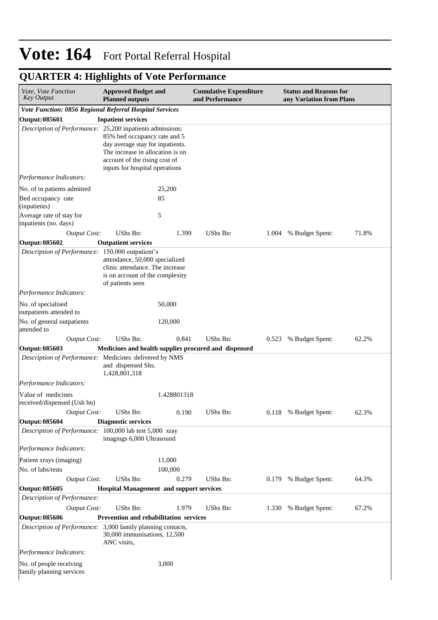## **QUARTER 4: Highlights of Vote Performance**

| Vote, Vote Function<br><b>Key Output</b>                    | <b>Approved Budget and</b><br><b>Planned outputs</b>                                                                                                                    |             | <b>Cumulative Expenditure</b><br>and Performance     |       | <b>Status and Reasons for</b><br>any Variation from Plans |       |
|-------------------------------------------------------------|-------------------------------------------------------------------------------------------------------------------------------------------------------------------------|-------------|------------------------------------------------------|-------|-----------------------------------------------------------|-------|
| Vote Function: 0856 Regional Referral Hospital Services     |                                                                                                                                                                         |             |                                                      |       |                                                           |       |
| Output: 085601                                              | <b>Inpatient services</b>                                                                                                                                               |             |                                                      |       |                                                           |       |
| Description of Performance: 25,200 inpatients admissions;   | 85% bed occupancy rate and 5<br>day average stay for inpatients.<br>The increase in allocation is on<br>account of the rising cost of<br>inputs for hospital operations |             |                                                      |       |                                                           |       |
| Performance Indicators:                                     |                                                                                                                                                                         |             |                                                      |       |                                                           |       |
| No. of in patients admitted                                 |                                                                                                                                                                         | 25,200      |                                                      |       |                                                           |       |
| Bed occupancy rate<br>(inpatients)                          |                                                                                                                                                                         | 85          |                                                      |       |                                                           |       |
| Average rate of stay for<br>inpatients (no. days)           | 5                                                                                                                                                                       |             |                                                      |       |                                                           |       |
| <b>Output Cost:</b>                                         | UShs Bn:                                                                                                                                                                | 1.399       | UShs Bn:                                             | 1.004 | % Budget Spent:                                           | 71.8% |
| Output: 085602                                              | <b>Outpatient services</b>                                                                                                                                              |             |                                                      |       |                                                           |       |
| Description of Performance: 150,000 outpatient's            | attendance, 50,000 specialized<br>clinic attendance. The increase<br>is on account of the complexity<br>of patients seen                                                |             |                                                      |       |                                                           |       |
| Performance Indicators:                                     |                                                                                                                                                                         |             |                                                      |       |                                                           |       |
| No. of specialised<br>outpatients attended to               |                                                                                                                                                                         | 50,000      |                                                      |       |                                                           |       |
| No. of general outpatients<br>attended to                   |                                                                                                                                                                         | 120,000     |                                                      |       |                                                           |       |
| <b>Output Cost:</b>                                         | UShs Bn:                                                                                                                                                                | 0.841       | UShs Bn:                                             | 0.523 | % Budget Spent:                                           | 62.2% |
| Output: 085603                                              |                                                                                                                                                                         |             | Medicines and health supplies procured and dispensed |       |                                                           |       |
| Description of Performance: Medicines delivered by NMS      | and dispensed Shs.<br>1,428,801,318                                                                                                                                     |             |                                                      |       |                                                           |       |
| Performance Indicators:                                     |                                                                                                                                                                         |             |                                                      |       |                                                           |       |
| Value of medicines<br>received/dispensed (Ush bn)           |                                                                                                                                                                         | 1.428801318 |                                                      |       |                                                           |       |
| Output Cost:                                                | UShs Bn:                                                                                                                                                                | 0.190       | UShs Bn:                                             |       | 0.118 % Budget Spent:                                     | 62.3% |
| <b>Output: 085604</b>                                       | <b>Diagnostic services</b>                                                                                                                                              |             |                                                      |       |                                                           |       |
| Description of Performance: 100,000 lab test 5,000 xray     | imagings 6,000 Ultrasound                                                                                                                                               |             |                                                      |       |                                                           |       |
| Performance Indicators:                                     |                                                                                                                                                                         |             |                                                      |       |                                                           |       |
| Patient xrays (imaging)                                     |                                                                                                                                                                         | 11,000      |                                                      |       |                                                           |       |
| No. of labs/tests                                           |                                                                                                                                                                         | 100,000     |                                                      |       |                                                           |       |
| <b>Output Cost:</b>                                         | UShs Bn:                                                                                                                                                                | 0.279       | UShs Bn:                                             | 0.179 | % Budget Spent:                                           | 64.3% |
| Output: 085605<br>Description of Performance:               | <b>Hospital Management and support services</b>                                                                                                                         |             |                                                      |       |                                                           |       |
| <b>Output Cost:</b>                                         | UShs Bn:                                                                                                                                                                | 1.979       | UShs Bn:                                             | 1.330 | % Budget Spent:                                           | 67.2% |
| Output: 085606                                              | Prevention and rehabilitation services                                                                                                                                  |             |                                                      |       |                                                           |       |
| Description of Performance: 3,000 family planning contacts, | 30,000 immunisations, 12,500<br>ANC visits,                                                                                                                             |             |                                                      |       |                                                           |       |
| Performance Indicators:                                     |                                                                                                                                                                         |             |                                                      |       |                                                           |       |
| No. of people receiving<br>family planning services         |                                                                                                                                                                         | 3,000       |                                                      |       |                                                           |       |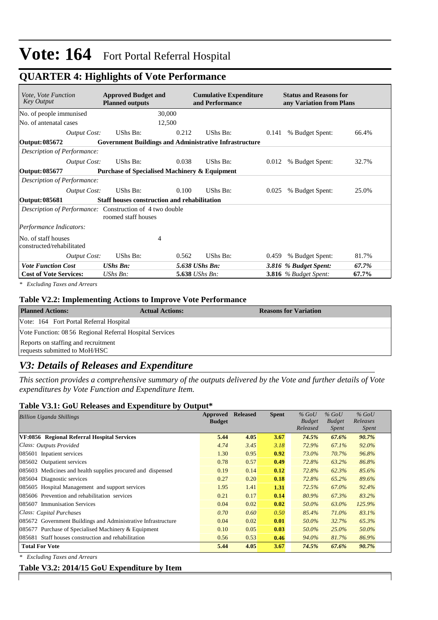### **QUARTER 4: Highlights of Vote Performance**

| <i>Vote, Vote Function</i><br>Key Output                        | <b>Approved Budget and</b><br><b>Planned outputs</b>          | <b>Cumulative Expenditure</b><br>and Performance | <b>Status and Reasons for</b><br>any Variation from Plans |       |
|-----------------------------------------------------------------|---------------------------------------------------------------|--------------------------------------------------|-----------------------------------------------------------|-------|
| No. of people immunised                                         | 30,000                                                        |                                                  |                                                           |       |
| No. of antenatal cases                                          | 12,500                                                        |                                                  |                                                           |       |
| Output Cost:                                                    | UShs Bn:                                                      | 0.212<br>UShs Bn:                                | % Budget Spent:<br>0.141                                  | 66.4% |
| Output: 085672                                                  | <b>Government Buildings and Administrative Infrastructure</b> |                                                  |                                                           |       |
| Description of Performance:                                     |                                                               |                                                  |                                                           |       |
| Output Cost:                                                    | UShs Bn:                                                      | UShs Bn:<br>0.038                                | % Budget Spent:<br>0.012                                  | 32.7% |
| Output: 085677                                                  | <b>Purchase of Specialised Machinery &amp; Equipment</b>      |                                                  |                                                           |       |
| Description of Performance:                                     |                                                               |                                                  |                                                           |       |
| <b>Output Cost:</b>                                             | UShs Bn:                                                      | UShs Bn:<br>0.100                                | % Budget Spent:<br>0.025                                  | 25.0% |
| Output: 085681                                                  | Staff houses construction and rehabilitation                  |                                                  |                                                           |       |
| <i>Description of Performance:</i> Construction of 4 two double | roomed staff houses                                           |                                                  |                                                           |       |
| Performance Indicators:                                         |                                                               |                                                  |                                                           |       |
| No. of staff houses<br>constructed/rehabilitated                | 4                                                             |                                                  |                                                           |       |
| <b>Output Cost:</b>                                             | UShs Bn:                                                      | UShs Bn:<br>0.562                                | % Budget Spent:<br>0.459                                  | 81.7% |
| <b>Vote Function Cost</b>                                       | <b>UShs Bn:</b>                                               | 5.638 UShs Bn:                                   | 3.816 % Budget Spent:                                     | 67.7% |
| <b>Cost of Vote Services:</b>                                   | $UShs Bn$ :                                                   | 5.638 UShs Bn:                                   | 3.816 $%$ Budget Spent:                                   | 67.7% |

*\* Excluding Taxes and Arrears*

#### **Table V2.2: Implementing Actions to Improve Vote Performance**

| <b>Planned Actions:</b>                                              | <b>Actual Actions:</b> | <b>Reasons for Variation</b> |
|----------------------------------------------------------------------|------------------------|------------------------------|
| Vote: 164 Fort Portal Referral Hospital                              |                        |                              |
| Vote Function: 08 56 Regional Referral Hospital Services             |                        |                              |
| Reports on staffing and recruitment<br>requests submitted to MoH/HSC |                        |                              |

### *V3: Details of Releases and Expenditure*

*This section provides a comprehensive summary of the outputs delivered by the Vote and further details of Vote expenditures by Vote Function and Expenditure Item.*

#### **Table V3.1: GoU Releases and Expenditure by Output\***

| <b>Billion Uganda Shillings</b>                               | Approved      | <b>Released</b> | <b>Spent</b> | $%$ GoU       | $%$ GoU       | $%$ GoU      |
|---------------------------------------------------------------|---------------|-----------------|--------------|---------------|---------------|--------------|
|                                                               | <b>Budget</b> |                 |              | <b>Budget</b> | <b>Budget</b> | Releases     |
|                                                               |               |                 |              | Released      | Spent         | <i>Spent</i> |
| VF:0856 Regional Referral Hospital Services                   | 5.44          | 4.05            | 3.67         | 74.5%         | 67.6%         | 90.7%        |
| Class: Outputs Provided                                       | 4.74          | 3.45            | 3.18         | 72.9%         | 67.1%         | 92.0%        |
| 085601 Inpatient services                                     | 1.30          | 0.95            | 0.92         | 73.0%         | 70.7%         | 96.8%        |
| 085602 Outpatient services                                    | 0.78          | 0.57            | 0.49         | 72.8%         | 63.2%         | 86.8%        |
| 085603 Medicines and health supplies procured and dispensed   | 0.19          | 0.14            | 0.12         | 72.8%         | 62.3%         | 85.6%        |
| 085604 Diagnostic services                                    | 0.27          | 0.20            | 0.18         | 72.8%         | 65.2%         | 89.6%        |
| 085605 Hospital Management and support services               | 1.95          | 1.41            | 1.31         | 72.5%         | 67.0%         | 92.4%        |
| 085606 Prevention and rehabilitation services                 | 0.21          | 0.17            | 0.14         | 80.9%         | 67.3%         | 83.2%        |
| 085607 Immunisation Services                                  | 0.04          | 0.02            | 0.02         | 50.0%         | 63.0%         | 125.9%       |
| Class: Capital Purchases                                      | 0.70          | 0.60            | 0.50         | 85.4%         | 71.0%         | 83.1%        |
| 085672 Government Buildings and Administrative Infrastructure | 0.04          | 0.02            | 0.01         | 50.0%         | 32.7%         | 65.3%        |
| 085677 Purchase of Specialised Machinery & Equipment          | 0.10          | 0.05            | 0.03         | 50.0%         | $25.0\%$      | 50.0%        |
| 085681 Staff houses construction and rehabilitation           | 0.56          | 0.53            | 0.46         | 94.0%         | 81.7%         | 86.9%        |
| <b>Total For Vote</b>                                         | 5.44          | 4.05            | 3.67         | 74.5%         | 67.6%         | 90.7%        |

*\* Excluding Taxes and Arrears*

#### **Table V3.2: 2014/15 GoU Expenditure by Item**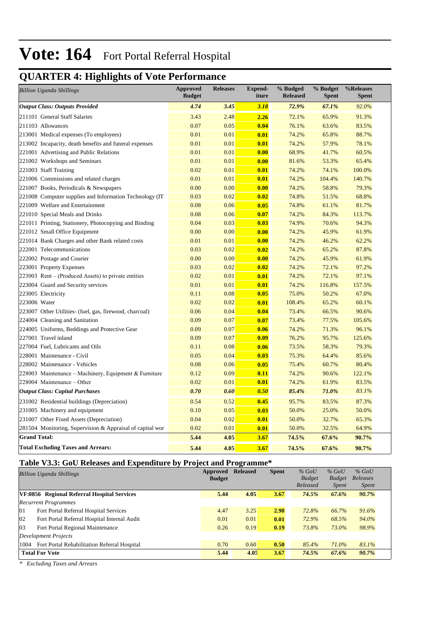## **QUARTER 4: Highlights of Vote Performance**

| <b>Billion Uganda Shillings</b>                           | <b>Approved</b><br><b>Budget</b> | <b>Releases</b> | <b>Expend-</b><br>iture | % Budged<br><b>Released</b> | % Budget<br><b>Spent</b> | %Releases<br><b>Spent</b> |
|-----------------------------------------------------------|----------------------------------|-----------------|-------------------------|-----------------------------|--------------------------|---------------------------|
| <b>Output Class: Outputs Provided</b>                     | 4.74                             | 3.45            | 3.18                    | 72.9%                       | 67.1%                    | 92.0%                     |
| 211101 General Staff Salaries                             | 3.43                             | 2.48            | 2.26                    | 72.1%                       | 65.9%                    | 91.3%                     |
| 211103 Allowances                                         | 0.07                             | 0.05            | 0.04                    | 76.1%                       | 63.6%                    | 83.5%                     |
| 213001 Medical expenses (To employees)                    | 0.01                             | 0.01            | 0.01                    | 74.2%                       | 65.8%                    | 88.7%                     |
| 213002 Incapacity, death benefits and funeral expenses    | 0.01                             | 0.01            | 0.01                    | 74.2%                       | 57.9%                    | 78.1%                     |
| 221001 Advertising and Public Relations                   | 0.01                             | 0.01            | 0.00                    | 68.9%                       | 41.7%                    | 60.5%                     |
| 221002 Workshops and Seminars                             | 0.01                             | 0.01            | 0.00                    | 81.6%                       | 53.3%                    | 65.4%                     |
| 221003 Staff Training                                     | 0.02                             | 0.01            | 0.01                    | 74.2%                       | 74.1%                    | 100.0%                    |
| 221006 Commissions and related charges                    | 0.01                             | 0.01            | 0.01                    | 74.2%                       | 104.4%                   | 140.7%                    |
| 221007 Books, Periodicals & Newspapers                    | 0.00                             | 0.00            | 0.00                    | 74.2%                       | 58.8%                    | 79.3%                     |
| 221008 Computer supplies and Information Technology (IT)  | 0.03                             | 0.02            | 0.02                    | 74.8%                       | 51.5%                    | 68.8%                     |
| 221009 Welfare and Entertainment                          | 0.08                             | 0.06            | 0.05                    | 74.8%                       | 61.1%                    | 81.7%                     |
| 221010 Special Meals and Drinks                           | 0.08                             | 0.06            | 0.07                    | 74.2%                       | 84.3%                    | 113.7%                    |
| 221011 Printing, Stationery, Photocopying and Binding     | 0.04                             | 0.03            | 0.03                    | 74.9%                       | 70.6%                    | 94.3%                     |
| 221012 Small Office Equipment                             | 0.00                             | 0.00            | 0.00                    | 74.2%                       | 45.9%                    | 61.9%                     |
| 221014 Bank Charges and other Bank related costs          | 0.01                             | 0.01            | 0.00                    | 74.2%                       | 46.2%                    | 62.2%                     |
| 222001 Telecommunications                                 | 0.03                             | 0.02            | 0.02                    | 74.2%                       | 65.2%                    | 87.8%                     |
| 222002 Postage and Courier                                | 0.00                             | 0.00            | 0.00                    | 74.2%                       | 45.9%                    | 61.9%                     |
| 223001 Property Expenses                                  | 0.03                             | 0.02            | 0.02                    | 74.2%                       | 72.1%                    | 97.2%                     |
| 223003 Rent – (Produced Assets) to private entities       | 0.02                             | 0.01            | 0.01                    | 74.2%                       | 72.1%                    | 97.1%                     |
| 223004 Guard and Security services                        | 0.01                             | 0.01            | 0.01                    | 74.2%                       | 116.8%                   | 157.5%                    |
| 223005 Electricity                                        | 0.11                             | 0.08            | 0.05                    | 75.0%                       | 50.2%                    | 67.0%                     |
| 223006 Water                                              | 0.02                             | 0.02            | 0.01                    | 108.4%                      | 65.2%                    | 60.1%                     |
| 223007 Other Utilities- (fuel, gas, firewood, charcoal)   | 0.06                             | 0.04            | 0.04                    | 73.4%                       | 66.5%                    | 90.6%                     |
| 224004 Cleaning and Sanitation                            | 0.09                             | 0.07            | 0.07                    | 73.4%                       | 77.5%                    | 105.6%                    |
| 224005 Uniforms, Beddings and Protective Gear             | 0.09                             | 0.07            | 0.06                    | 74.2%                       | 71.3%                    | 96.1%                     |
| 227001 Travel inland                                      | 0.09                             | 0.07            | 0.09                    | 76.2%                       | 95.7%                    | 125.6%                    |
| 227004 Fuel, Lubricants and Oils                          | 0.11                             | 0.08            | 0.06                    | 73.5%                       | 58.3%                    | 79.3%                     |
| 228001 Maintenance - Civil                                | 0.05                             | 0.04            | 0.03                    | 75.3%                       | 64.4%                    | 85.6%                     |
| 228002 Maintenance - Vehicles                             | 0.08                             | 0.06            | 0.05                    | 75.4%                       | 60.7%                    | 80.4%                     |
| 228003 Maintenance - Machinery, Equipment & Furniture     | 0.12                             | 0.09            | 0.11                    | 74.2%                       | 90.6%                    | 122.1%                    |
| 228004 Maintenance - Other                                | 0.02                             | 0.01            | 0.01                    | 74.2%                       | 61.9%                    | 83.5%                     |
| <b>Output Class: Capital Purchases</b>                    | 0.70                             | 0.60            | 0.50                    | 85.4%                       | 71.0%                    | 83.1%                     |
| 231002 Residential buildings (Depreciation)               | 0.54                             | 0.52            | 0.45                    | 95.7%                       | 83.5%                    | 87.3%                     |
| 231005 Machinery and equipment                            | 0.10                             | 0.05            | 0.03                    | 50.0%                       | 25.0%                    | 50.0%                     |
| 231007 Other Fixed Assets (Depreciation)                  | 0.04                             | 0.02            | 0.01                    | 50.0%                       | 32.7%                    | 65.3%                     |
| 281504 Monitoring, Supervision & Appraisal of capital wor | 0.02                             | 0.01            | 0.01                    | 50.0%                       | 32.5%                    | 64.9%                     |
| <b>Grand Total:</b>                                       | 5.44                             | 4.05            | 3.67                    | 74.5%                       | 67.6%                    | 90.7%                     |
| <b>Total Excluding Taxes and Arrears:</b>                 | 5.44                             | 4.05            | 3.67                    | 74.5%                       | 67.6%                    | 90.7%                     |

### **Table V3.3: GoU Releases and Expenditure by Project and Programme\***

|              | <b>Billion Uganda Shillings</b>                   | Approved      | <b>Released</b> | <b>Spent</b> | $%$ GoU       | $%$ GoU       | $%$ GoU      |
|--------------|---------------------------------------------------|---------------|-----------------|--------------|---------------|---------------|--------------|
|              |                                                   | <b>Budget</b> |                 |              | <b>Budget</b> | <b>Budget</b> | Releases     |
|              |                                                   |               |                 |              | Released      | <i>Spent</i>  | <i>Spent</i> |
|              | VF:0856 Regional Referral Hospital Services       | 5.44          | 4.05            | 3.67         | 74.5%         | 67.6%         | 90.7%        |
|              | <b>Recurrent Programmes</b>                       |               |                 |              |               |               |              |
| 01           | Fort Portal Referral Hospital Services            | 4.47          | 3.25            | 2.98         | 72.8%         | 66.7%         | 91.6%        |
| 02           | Fort Portal Referral Hospital Internal Audit      | 0.01          | 0.01            | 0.01         | 72.9%         | 68.5%         | 94.0%        |
| $ 03\rangle$ | Fort Portal Regional Maintenance                  | 0.26          | 0.19            | 0.19         | 73.8%         | 73.0%         | 98.9%        |
|              | Development Projects                              |               |                 |              |               |               |              |
|              | 1004 Fort Portal Rehabilitation Referral Hospital | 0.70          | 0.60            | 0.50         | 85.4%         | 71.0%         | 83.1%        |
|              | <b>Total For Vote</b>                             | 5.44          | 4.05            | 3.67         | 74.5%         | 67.6%         | 90.7%        |

*\* Excluding Taxes and Arrears*